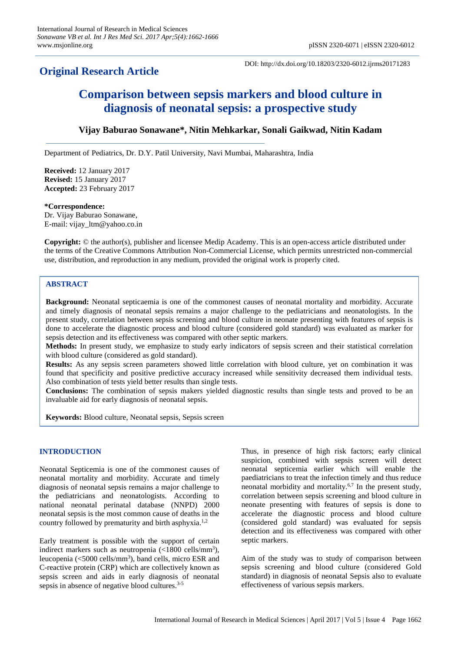# **Original Research Article**

DOI: http://dx.doi.org/10.18203/2320-6012.ijrms20171283

# **Comparison between sepsis markers and blood culture in diagnosis of neonatal sepsis: a prospective study**

# **Vijay Baburao Sonawane\*, Nitin Mehkarkar, Sonali Gaikwad, Nitin Kadam**

Department of Pediatrics, Dr. D.Y. Patil University, Navi Mumbai, Maharashtra, India

**Received:** 12 January 2017 **Revised:** 15 January 2017 **Accepted:** 23 February 2017

### **\*Correspondence:**

Dr. Vijay Baburao Sonawane, E-mail: vijay\_ltm@yahoo.co.in

**Copyright:** © the author(s), publisher and licensee Medip Academy. This is an open-access article distributed under the terms of the Creative Commons Attribution Non-Commercial License, which permits unrestricted non-commercial use, distribution, and reproduction in any medium, provided the original work is properly cited.

# **ABSTRACT**

**Background:** Neonatal septicaemia is one of the commonest causes of neonatal mortality and morbidity. Accurate and timely diagnosis of neonatal sepsis remains a major challenge to the pediatricians and neonatologists. In the present study, correlation between sepsis screening and blood culture in neonate presenting with features of sepsis is done to accelerate the diagnostic process and blood culture (considered gold standard) was evaluated as marker for sepsis detection and its effectiveness was compared with other septic markers.

**Methods:** In present study, we emphasize to study early indicators of sepsis screen and their statistical correlation with blood culture (considered as gold standard).

**Results:** As any sepsis screen parameters showed little correlation with blood culture, yet on combination it was found that specificity and positive predictive accuracy increased while sensitivity decreased them individual tests. Also combination of tests yield better results than single tests.

**Conclusions:** The combination of sepsis makers yielded diagnostic results than single tests and proved to be an invaluable aid for early diagnosis of neonatal sepsis.

**Keywords:** Blood culture, Neonatal sepsis, Sepsis screen

# **INTRODUCTION**

Neonatal Septicemia is one of the commonest causes of neonatal mortality and morbidity. Accurate and timely diagnosis of neonatal sepsis remains a major challenge to the pediatricians and neonatologists. According to national neonatal perinatal database (NNPD) 2000 neonatal sepsis is the most common cause of deaths in the country followed by prematurity and birth asphyxia.1,2

Early treatment is possible with the support of certain indirect markers such as neutropenia  $\left($  <1800 cells/mm<sup>3</sup>), leucopenia (<5000 cells/mm<sup>3</sup>), band cells, micro ESR and C-reactive protein (CRP) which are collectively known as sepsis screen and aids in early diagnosis of neonatal sepsis in absence of negative blood cultures.<sup>3-5</sup>

Thus, in presence of high risk factors; early clinical suspicion, combined with sepsis screen will detect neonatal septicemia earlier which will enable the paediatricians to treat the infection timely and thus reduce neonatal morbidity and mortality.6,7 In the present study, correlation between sepsis screening and blood culture in neonate presenting with features of sepsis is done to accelerate the diagnostic process and blood culture (considered gold standard) was evaluated for sepsis detection and its effectiveness was compared with other septic markers.

Aim of the study was to study of comparison between sepsis screening and blood culture (considered Gold standard) in diagnosis of neonatal Sepsis also to evaluate effectiveness of various sepsis markers.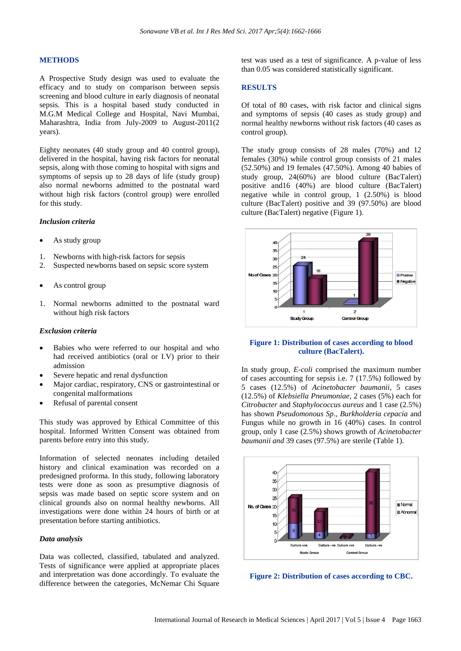#### **METHODS**

A Prospective Study design was used to evaluate the efficacy and to study on comparison between sepsis screening and blood culture in early diagnosis of neonatal sepsis. This is a hospital based study conducted in M.G.M Medical College and Hospital, Navi Mumbai, Maharashtra, India from July-2009 to August-2011(2 years).

Eighty neonates (40 study group and 40 control group), delivered in the hospital, having risk factors for neonatal sepsis, along with those coming to hospital with signs and symptoms of sepsis up to 28 days of life (study group) also normal newborns admitted to the postnatal ward without high risk factors (control group) were enrolled for this study.

#### *Inclusion criteria*

- As study group
- 1. Newborns with high-risk factors for sepsis
- 2. Suspected newborns based on sepsic score system
- As control group
- 1. Normal newborns admitted to the postnatal ward without high risk factors

#### *Exclusion criteria*

- Babies who were referred to our hospital and who had received antibiotics (oral or I.V) prior to their admission
- Severe hepatic and renal dysfunction
- Major cardiac, respiratory, CNS or gastrointestinal or congenital malformations
- Refusal of parental consent

This study was approved by Ethical Committee of this hospital. Informed Written Consent was obtained from parents before entry into this study.

Information of selected neonates including detailed history and clinical examination was recorded on a predesigned proforma. In this study, following laboratory tests were done as soon as presumptive diagnosis of sepsis was made based on septic score system and on clinical grounds also on normal healthy newborns. All investigations were done within 24 hours of birth or at presentation before starting antibiotics.

# *Data analysis*

Data was collected, classified, tabulated and analyzed. Tests of significance were applied at appropriate places and interpretation was done accordingly. To evaluate the difference between the categories, McNemar Chi Square test was used as a test of significance. A p-value of less than 0.05 was considered statistically significant.

#### **RESULTS**

Of total of 80 cases, with risk factor and clinical signs and symptoms of sepsis (40 cases as study group) and normal healthy newborns without risk factors (40 cases as control group).

The study group consists of 28 males (70%) and 12 females (30%) while control group consists of 21 males (52.50%) and 19 females (47.50%). Among 40 babies of study group, 24(60%) are blood culture (BacTalert) positive and16 (40%) are blood culture (BacTalert) negative while in control group, 1 (2.50%) is blood culture (BacTalert) positive and 39 (97.50%) are blood culture (BacTalert) negative (Figure 1).



# **Figure 1: Distribution of cases according to blood culture (BacTalert).**

In study group, *E-coli* comprised the maximum number of cases accounting for sepsis i.e. 7 (17.5%) followed by 5 cases (12.5%) of *Acinetobacter baumanii*, 5 cases (12.5%) of *Klebsiella Pneumoniae*, 2 cases (5%) each for *Citrobacter* and *Staphylococcus aureus* and 1 case (2.5%) has shown *Pseudomonous Sp*., *Burkholderia cepacia* and Fungus while no growth in 16 (40%) cases. In control group, only 1 case (2.5%) shows growth of *Acinetobacter baumanii and* 39 cases (97.5%) are sterile (Table 1).



**Figure 2: Distribution of cases according to CBC.**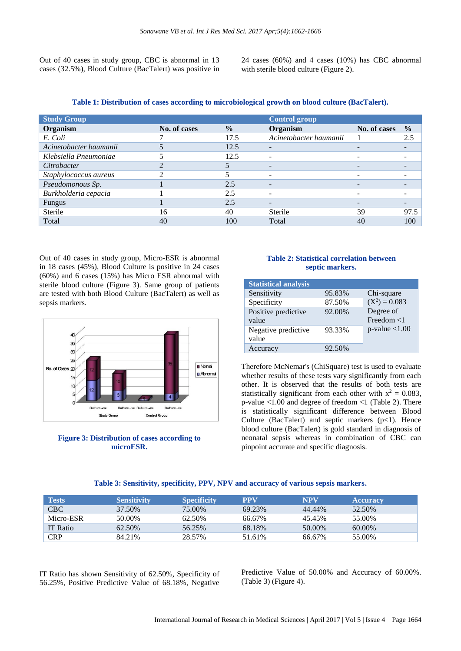Out of 40 cases in study group, CBC is abnormal in 13 cases (32.5%), Blood Culture (BacTalert) was positive in 24 cases (60%) and 4 cases (10%) has CBC abnormal with sterile blood culture (Figure 2).

| Table 1: Distribution of cases according to microbiological growth on blood culture (BacTalert). |  |  |  |
|--------------------------------------------------------------------------------------------------|--|--|--|
|                                                                                                  |  |  |  |

| <b>Study Group</b>     |              |               | <b>Control group</b>     |                          |               |
|------------------------|--------------|---------------|--------------------------|--------------------------|---------------|
| Organism               | No. of cases | $\frac{0}{0}$ | Organism                 | No. of cases             | $\frac{0}{0}$ |
| E. Coli                |              | 17.5          | Acinetobacter baumanii   |                          | 2.5           |
| Acinetobacter baumanii |              | 12.5          | -                        | $\overline{\phantom{0}}$ |               |
| Klebsiella Pneumoniae  |              | 12.5          |                          |                          |               |
| Citrobacter            |              |               |                          |                          |               |
| Staphylococcus aureus  |              |               |                          | -                        |               |
| Pseudomonous Sp.       |              | 2.5           |                          |                          |               |
| Burkholderia cepacia   |              | 2.5           | $\overline{\phantom{a}}$ | -                        |               |
| Fungus                 |              | 2.5           | -                        | -                        |               |
| Sterile                | 16           | 40            | Sterile                  | 39                       | 97.5          |
| Total                  | 40           | 100           | Total                    | 40                       | 100           |

Out of 40 cases in study group, Micro-ESR is abnormal in 18 cases (45%), Blood Culture is positive in 24 cases (60%) and 6 cases (15%) has Micro ESR abnormal with sterile blood culture (Figure 3). Same group of patients are tested with both Blood Culture (BacTalert) as well as sepsis markers.



**Figure 3: Distribution of cases according to microESR.**

# **Table 2: Statistical correlation between septic markers.**

| <b>Statistical analysis</b> |        |                  |
|-----------------------------|--------|------------------|
| Sensitivity                 | 95.83% | Chi-square       |
| Specificity                 | 87.50% | $(X^2) = 0.083$  |
| Positive predictive         | 92.00% | Degree of        |
| value                       |        | Freedom $<$ 1    |
| Negative predictive         | 93.33% | $p$ -value <1.00 |
| value                       |        |                  |
| Accuracy                    | 92.50% |                  |

Therefore McNemar's (ChiSquare) test is used to evaluate whether results of these tests vary significantly from each other. It is observed that the results of both tests are statistically significant from each other with  $x^2 = 0.083$ , p-value <1.00 and degree of freedom <1 (Table 2). There is statistically significant difference between Blood Culture (BacTalert) and septic markers  $(p<1)$ . Hence blood culture (BacTalert) is gold standard in diagnosis of neonatal sepsis whereas in combination of CBC can pinpoint accurate and specific diagnosis.

| Tests      | <b>Sensitivity</b> | <b>Specificity</b> | <b>PPV</b> | <b>NPV</b> | <b>Accuracy</b> |
|------------|--------------------|--------------------|------------|------------|-----------------|
| CBC        | 37.50%             | 75.00%             | 69.23%     | 44.44%     | 52.50%          |
| Micro-ESR  | 50.00%             | 62.50%             | 66.67%     | 45.45%     | 55.00%          |
| IT Ratio   | 62.50%             | 56.25%             | 68.18%     | 50.00%     | 60.00%          |
| <b>CRP</b> | 84.21%             | 28.57%             | 51.61%     | 66.67%     | 55.00%          |

IT Ratio has shown Sensitivity of 62.50%, Specificity of 56.25%, Positive Predictive Value of 68.18%, Negative

Predictive Value of 50.00% and Accuracy of 60.00%. (Table 3) (Figure 4).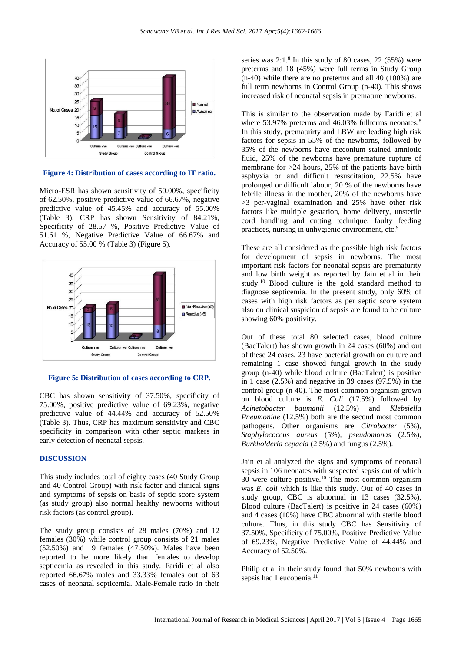

**Figure 4: Distribution of cases according to IT ratio.**

Micro-ESR has shown sensitivity of 50.00%, specificity of 62.50%, positive predictive value of 66.67%, negative predictive value of 45.45% and accuracy of 55.00% (Table 3). CRP has shown Sensitivity of 84.21%, Specificity of 28.57 %, Positive Predictive Value of 51.61 %, Negative Predictive Value of 66.67% and Accuracy of 55.00 % (Table 3) (Figure 5).



# **Figure 5: Distribution of cases according to CRP.**

CBC has shown sensitivity of 37.50%, specificity of 75.00%, positive predictive value of 69.23%, negative predictive value of 44.44% and accuracy of 52.50% (Table 3). Thus, CRP has maximum sensitivity and CBC specificity in comparison with other septic markers in early detection of neonatal sepsis.

#### **DISCUSSION**

This study includes total of eighty cases (40 Study Group and 40 Control Group) with risk factor and clinical signs and symptoms of sepsis on basis of septic score system (as study group) also normal healthy newborns without risk factors (as control group).

The study group consists of 28 males (70%) and 12 females (30%) while control group consists of 21 males (52.50%) and 19 females (47.50%). Males have been reported to be more likely than females to develop septicemia as revealed in this study. Faridi et al also reported 66.67% males and 33.33% females out of 63 cases of neonatal septicemia. Male-Female ratio in their

series was 2:1.<sup>8</sup> In this study of 80 cases, 22 (55%) were preterms and 18 (45%) were full terms in Study Group (n-40) while there are no preterms and all 40 (100%) are full term newborns in Control Group (n-40). This shows increased risk of neonatal sepsis in premature newborns.

This is similar to the observation made by Faridi et al where 53.97% preterms and 46.03% fullterms neonates.<sup>8</sup> In this study, prematuirty and LBW are leading high risk factors for sepsis in 55% of the newborns, followed by 35% of the newborns have meconium stained amniotic fluid, 25% of the newborns have premature rupture of membrane for >24 hours, 25% of the patients have birth asphyxia or and difficult resuscitation, 22.5% have prolonged or difficult labour, 20 % of the newborns have febrile illness in the mother, 20% of the newborns have >3 per-vaginal examination and 25% have other risk factors like multiple gestation, home delivery, unsterile cord handling and cutting technique, faulty feeding practices, nursing in unhygienic environment, etc.<sup>9</sup>

These are all considered as the possible high risk factors for development of sepsis in newborns. The most important risk factors for neonatal sepsis are prematurity and low birth weight as reported by Jain et al in their study.<sup>10</sup> Blood culture is the gold standard method to diagnose septicemia. In the present study, only 60% of cases with high risk factors as per septic score system also on clinical suspicion of sepsis are found to be culture showing 60% positivity.

Out of these total 80 selected cases, blood culture (BacTalert) has shown growth in 24 cases (60%) and out of these 24 cases, 23 have bacterial growth on culture and remaining 1 case showed fungal growth in the study group (n-40) while blood culture (BacTalert) is positive in 1 case (2.5%) and negative in 39 cases (97.5%) in the control group (n-40). The most common organism grown on blood culture is *E. Coli* (17.5%) followed by *Acinetobacter baumanii* (12.5%) and *Klebsiella Pneumoniae* (12.5%) both are the second most common pathogens. Other organisms are *Citrobacter* (5%), *Staphylococcus aureus* (5%), *pseudomonas* (2.5%), *Burkholderia cepacia* (2.5%) and fungus (2.5%).

Jain et al analyzed the signs and symptoms of neonatal sepsis in 106 neonates with suspected sepsis out of which  $30$  were culture positive.<sup>10</sup> The most common organism was *E. coli* which is like this study. Out of 40 cases in study group, CBC is abnormal in 13 cases (32.5%), Blood culture (BacTalert) is positive in 24 cases (60%) and 4 cases (10%) have CBC abnormal with sterile blood culture. Thus, in this study CBC has Sensitivity of 37.50%, Specificity of 75.00%, Positive Predictive Value of 69.23%, Negative Predictive Value of 44.44% and Accuracy of 52.50%.

Philip et al in their study found that 50% newborns with sepsis had Leucopenia.<sup>11</sup>